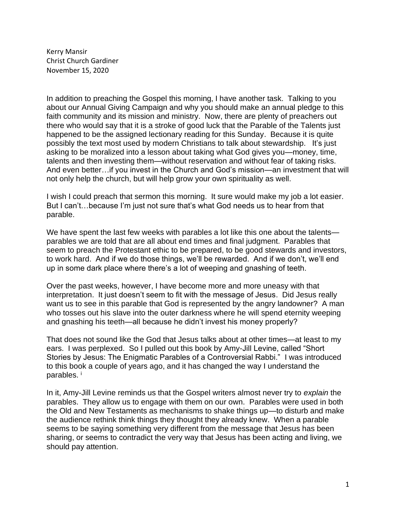Kerry Mansir Christ Church Gardiner November 15, 2020

In addition to preaching the Gospel this morning, I have another task. Talking to you about our Annual Giving Campaign and why you should make an annual pledge to this faith community and its mission and ministry. Now, there are plenty of preachers out there who would say that it is a stroke of good luck that the Parable of the Talents just happened to be the assigned lectionary reading for this Sunday. Because it is quite possibly the text most used by modern Christians to talk about stewardship. It's just asking to be moralized into a lesson about taking what God gives you—money, time, talents and then investing them—without reservation and without fear of taking risks. And even better…if you invest in the Church and God's mission—an investment that will not only help the church, but will help grow your own spirituality as well.

I wish I could preach that sermon this morning. It sure would make my job a lot easier. But I can't…because I'm just not sure that's what God needs us to hear from that parable.

We have spent the last few weeks with parables a lot like this one about the talents parables we are told that are all about end times and final judgment. Parables that seem to preach the Protestant ethic to be prepared, to be good stewards and investors, to work hard. And if we do those things, we'll be rewarded. And if we don't, we'll end up in some dark place where there's a lot of weeping and gnashing of teeth.

Over the past weeks, however, I have become more and more uneasy with that interpretation. It just doesn't seem to fit with the message of Jesus. Did Jesus really want us to see in this parable that God is represented by the angry landowner? A man who tosses out his slave into the outer darkness where he will spend eternity weeping and gnashing his teeth—all because he didn't invest his money properly?

That does not sound like the God that Jesus talks about at other times—at least to my ears. I was perplexed. So I pulled out this book by Amy-Jill Levine, called "Short Stories by Jesus: The Enigmatic Parables of a Controversial Rabbi." I was introduced to this book a couple of years ago, and it has changed the way I understand the parables.<sup>i</sup>

In it, Amy-Jill Levine reminds us that the Gospel writers almost never try to *explain* the parables. They allow us to engage with them on our own. Parables were used in both the Old and New Testaments as mechanisms to shake things up—to disturb and make the audience rethink think things they thought they already knew. When a parable seems to be saying something very different from the message that Jesus has been sharing, or seems to contradict the very way that Jesus has been acting and living, we should pay attention.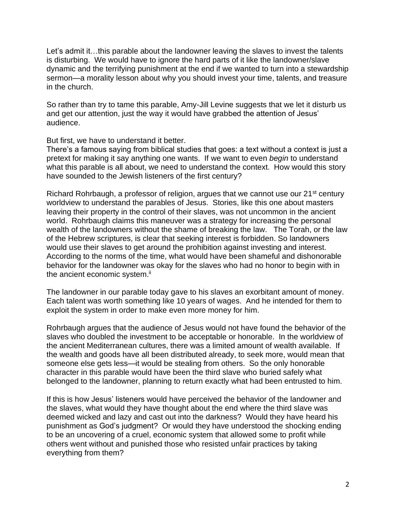Let's admit it…this parable about the landowner leaving the slaves to invest the talents is disturbing. We would have to ignore the hard parts of it like the landowner/slave dynamic and the terrifying punishment at the end if we wanted to turn into a stewardship sermon—a morality lesson about why you should invest your time, talents, and treasure in the church.

So rather than try to tame this parable, Amy-Jill Levine suggests that we let it disturb us and get our attention, just the way it would have grabbed the attention of Jesus' audience.

But first, we have to understand it better.

There's a famous saying from biblical studies that goes: a text without a context is just a pretext for making it say anything one wants. If we want to even *begin* to understand what this parable is all about, we need to understand the context. How would this story have sounded to the Jewish listeners of the first century?

Richard Rohrbaugh, a professor of religion, argues that we cannot use our 21<sup>st</sup> century worldview to understand the parables of Jesus. Stories, like this one about masters leaving their property in the control of their slaves, was not uncommon in the ancient world. Rohrbaugh claims this maneuver was a strategy for increasing the personal wealth of the landowners without the shame of breaking the law. The Torah, or the law of the Hebrew scriptures, is clear that seeking interest is forbidden. So landowners would use their slaves to get around the prohibition against investing and interest. According to the norms of the time, what would have been shameful and dishonorable behavior for the landowner was okay for the slaves who had no honor to begin with in the ancient economic system.<sup>ii</sup>

The landowner in our parable today gave to his slaves an exorbitant amount of money. Each talent was worth something like 10 years of wages. And he intended for them to exploit the system in order to make even more money for him.

Rohrbaugh argues that the audience of Jesus would not have found the behavior of the slaves who doubled the investment to be acceptable or honorable. In the worldview of the ancient Mediterranean cultures, there was a limited amount of wealth available. If the wealth and goods have all been distributed already, to seek more, would mean that someone else gets less—it would be stealing from others. So the only honorable character in this parable would have been the third slave who buried safely what belonged to the landowner, planning to return exactly what had been entrusted to him.

If this is how Jesus' listeners would have perceived the behavior of the landowner and the slaves, what would they have thought about the end where the third slave was deemed wicked and lazy and cast out into the darkness? Would they have heard his punishment as God's judgment? Or would they have understood the shocking ending to be an uncovering of a cruel, economic system that allowed some to profit while others went without and punished those who resisted unfair practices by taking everything from them?